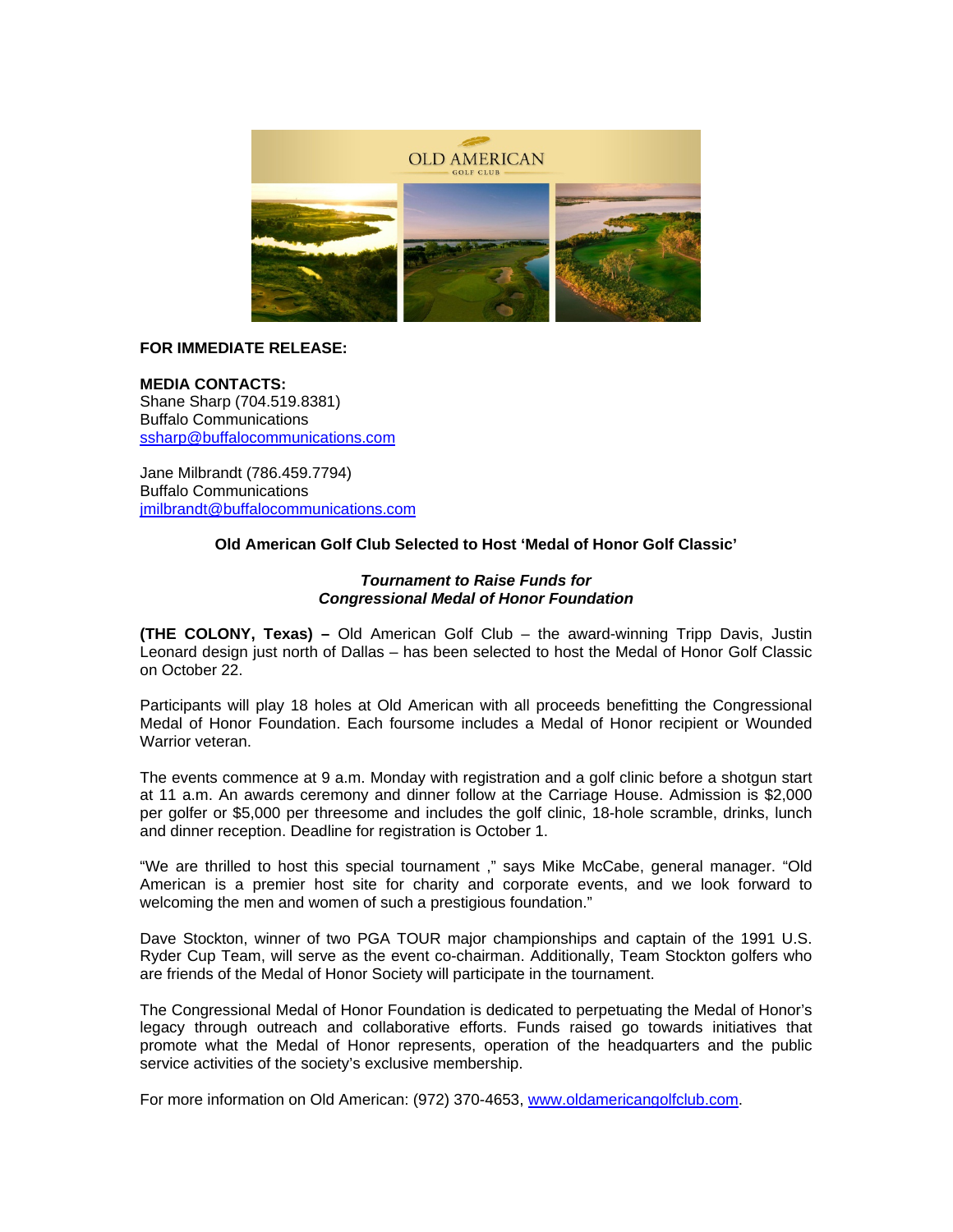

# **FOR IMMEDIATE RELEASE:**

**MEDIA CONTACTS:**  Shane Sharp (704.519.8381) Buffalo Communications ssharp@buffalocommunications.com

Jane Milbrandt (786.459.7794) Buffalo Communications jmilbrandt@buffalocommunications.com

### **Old American Golf Club Selected to Host 'Medal of Honor Golf Classic'**

#### *Tournament to Raise Funds for Congressional Medal of Honor Foundation*

**(THE COLONY, Texas) –** Old American Golf Club – the award-winning Tripp Davis, Justin Leonard design just north of Dallas – has been selected to host the Medal of Honor Golf Classic on October 22.

Participants will play 18 holes at Old American with all proceeds benefitting the Congressional Medal of Honor Foundation. Each foursome includes a Medal of Honor recipient or Wounded Warrior veteran

The events commence at 9 a.m. Monday with registration and a golf clinic before a shotgun start at 11 a.m. An awards ceremony and dinner follow at the Carriage House. Admission is \$2,000 per golfer or \$5,000 per threesome and includes the golf clinic, 18-hole scramble, drinks, lunch and dinner reception. Deadline for registration is October 1.

"We are thrilled to host this special tournament ," says Mike McCabe, general manager. "Old American is a premier host site for charity and corporate events, and we look forward to welcoming the men and women of such a prestigious foundation."

Dave Stockton, winner of two PGA TOUR major championships and captain of the 1991 U.S. Ryder Cup Team, will serve as the event co-chairman. Additionally, Team Stockton golfers who are friends of the Medal of Honor Society will participate in the tournament.

The Congressional Medal of Honor Foundation is dedicated to perpetuating the Medal of Honor's legacy through outreach and collaborative efforts. Funds raised go towards initiatives that promote what the Medal of Honor represents, operation of the headquarters and the public service activities of the society's exclusive membership.

For more information on Old American: (972) 370-4653, www.oldamericangolfclub.com.